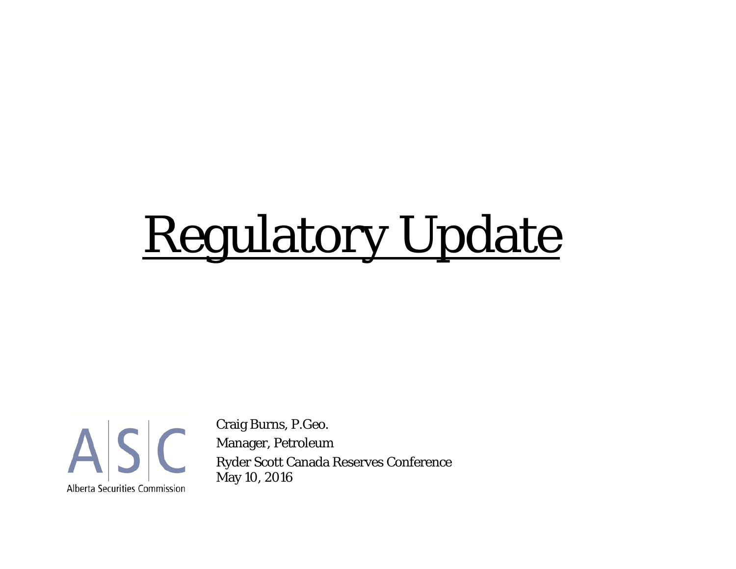# Regulatory Update



Craig Burns, P.Geo. Manager, Petroleum Ryder Scott Canada Reserves Conference May 10, 2016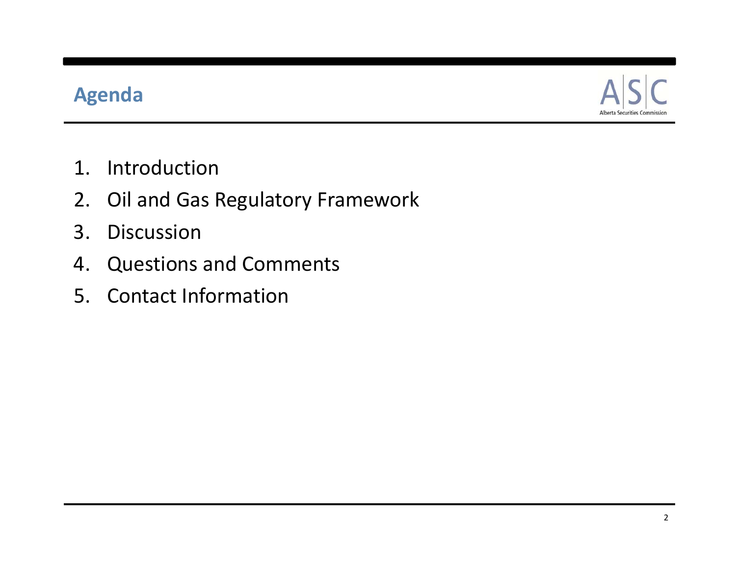# **Agenda**



- 1. Introduction
- 2. Oil and Gas Regulatory Framework
- 3. Discussion
- 4. Questions and Comments
- 5. Contact Information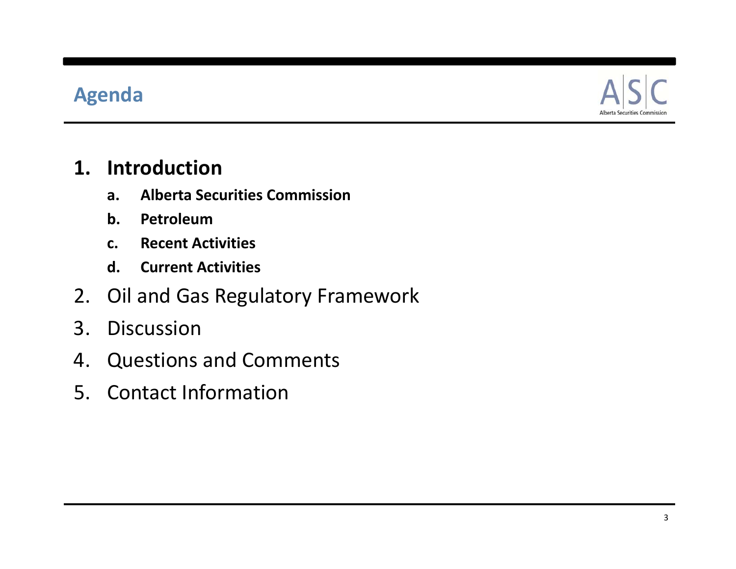#### **Agenda**



#### **1. Introduction**

- **a. Alberta Securities Commission**
- **b. Petroleum**
- **c. Recent Activities**
- **d. Current Activities**
- 2. Oil and Gas Regulatory Framework
- 3. Discussion
- 4. Questions and Comments
- 5. Contact Information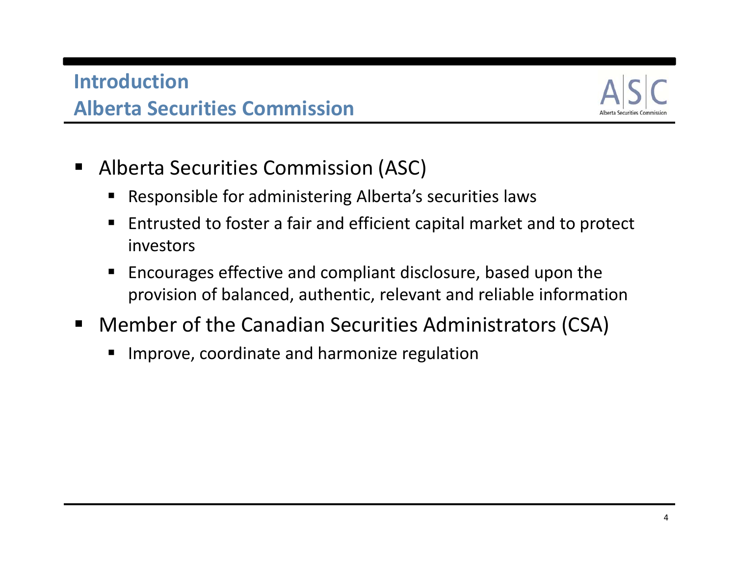# **IntroductionAlberta Securities Commission**



- $\blacksquare$  Alberta Securities Commission (ASC)
	- П Responsible for administering Alberta's securities laws
	- П ■ Entrusted to foster a fair and efficient capital market and to protect investors
	- $\blacksquare$  Encourages effective and compliant disclosure, based upon the provision of balanced, authentic, relevant and reliable information
- $\blacksquare$  Member of the Canadian Securities Administrators (CSA)
	- **IF Improve, coordinate and harmonize regulation**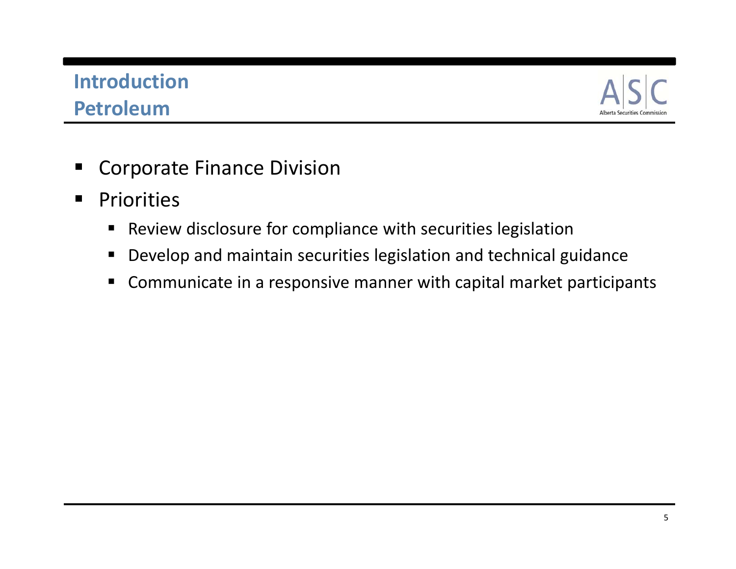# **Introduction Petroleum**



- $\blacksquare$ Corporate Finance Division
- $\begin{array}{c} \hline \end{array}$ **Priorities** 
	- $\blacksquare$ **•** Review disclosure for compliance with securities legislation
	- $\blacksquare$ Develop and maintain securities legislation and technical guidance
	- Communicate in <sup>a</sup> responsive manner with capital market participants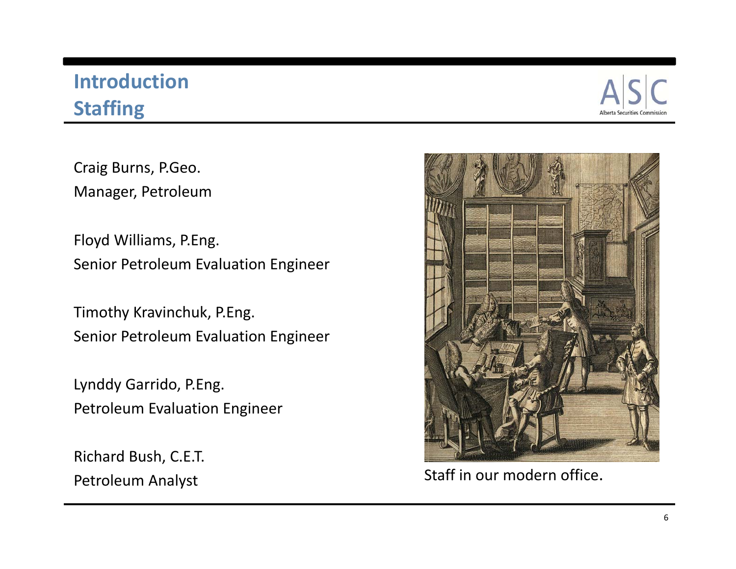# **Introduction Staffing**



Craig Burns, P.Geo. Manager, Petroleum

Floyd Williams, P.Eng. Senior Petroleum Evaluation Engineer

Timothy Kravinchuk, P.Eng. Senior Petroleum Evaluation Engineer

Lynddy Garrido, P.Eng. Petroleum Evaluation Engineer

Richard Bush, C.E.T. Petroleum Analyst



Staff in our modern office.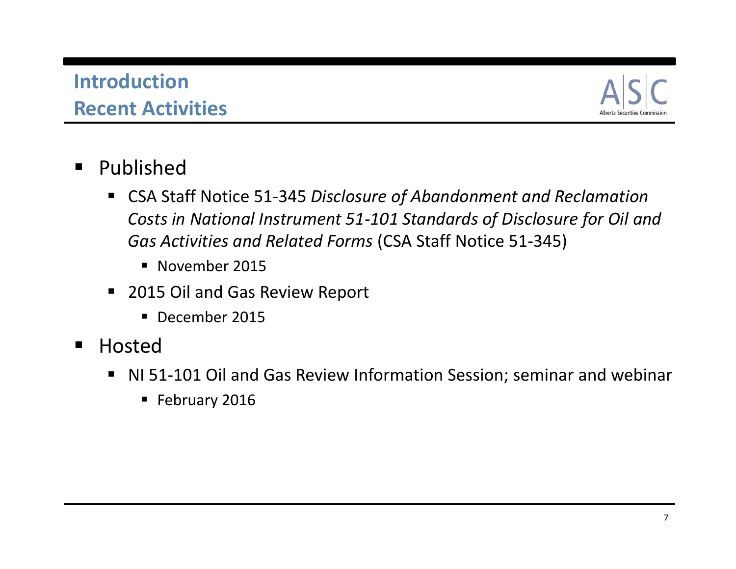#### **IntroductionRecent Activities**



- $\blacksquare$  Published
	- CSA Staff Notice 51‐345 *Disclosure of Abandonment and Reclamation Costs in National Instrument 51‐101 Standards of Disclosure for Oil and Gas Activities and Related Forms* (CSA Staff Notice 51‐345)
		- **November 2015**
	- 2015 Oil and Gas Review Report
		- **December 2015**
- $\blacksquare$ **•** Hosted
	- NI 51-101 Oil and Gas Review Information Session; seminar and webinar
		- **February 2016**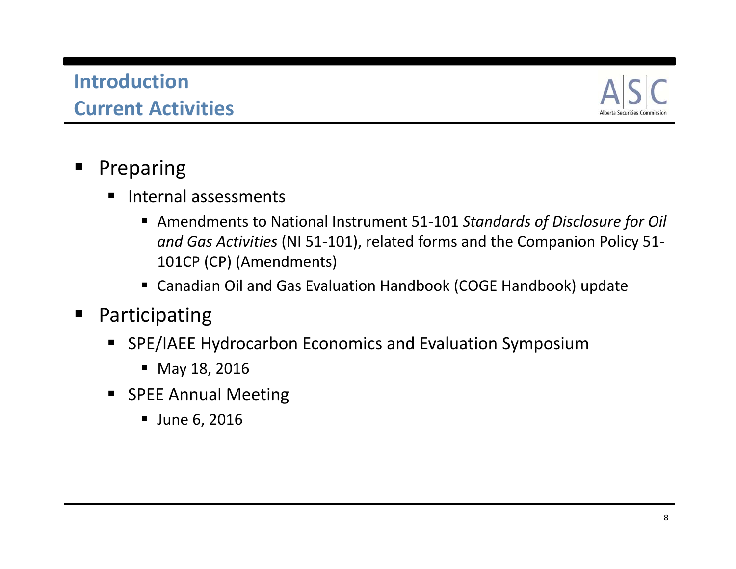# **IntroductionCurrent Activities**



#### $\blacksquare$ Preparing

- **Internal assessments** 
	- Amendments to National Instrument 51-101 *Standards of Disclosure for Oil and Gas Activities* (NI 51‐101), related forms and the Companion Policy 51‐ 101CP (CP) (Amendments)
	- Canadian Oil and Gas Evaluation Handbook (COGE Handbook) update
- $\blacksquare$  Participating
	- SPE/IAEE Hydrocarbon Economics and Evaluation Symposium
		- May 18, 2016
	- SPEE Annual Meeting
		- June 6, 2016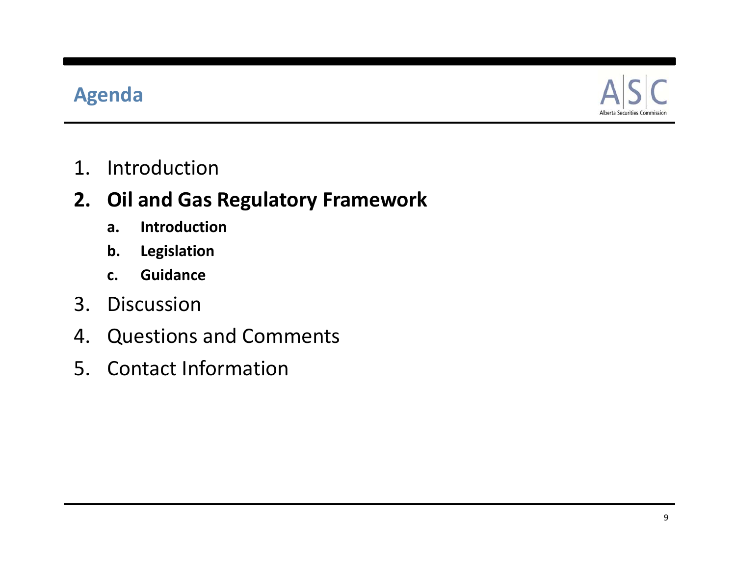#### **Agenda**



1. Introduction

# **2. Oil and Gas Regulatory Framework**

- **a. Introduction**
- **b. Legislation**
- **c. Guidance**
- 3. Discussion
- 4. Questions and Comments
- 5. Contact Information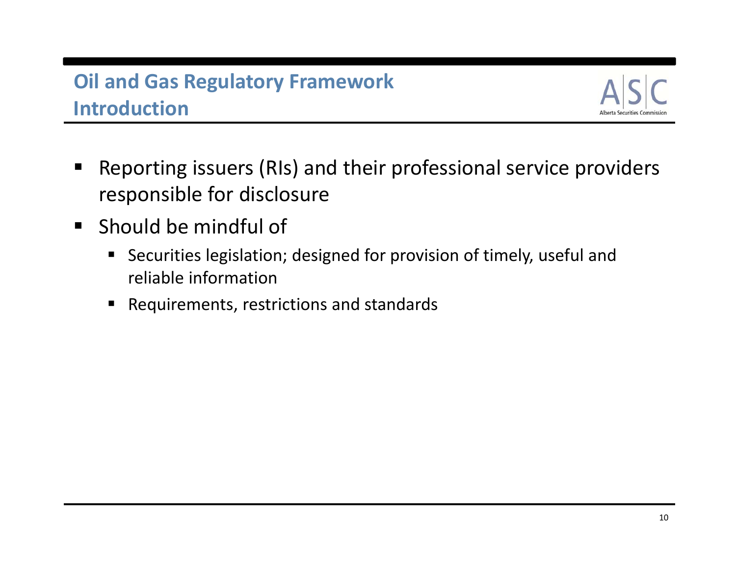# **Oil and Gas Regulatory Framework Introduction**



- $\blacksquare$  Reporting issuers (RIs) and their professional service providers responsible for disclosure
- **Should be mindful of** 
	- Securities legislation; designed for provision of timely, useful and reliable information
	- Requirements, restrictions and standards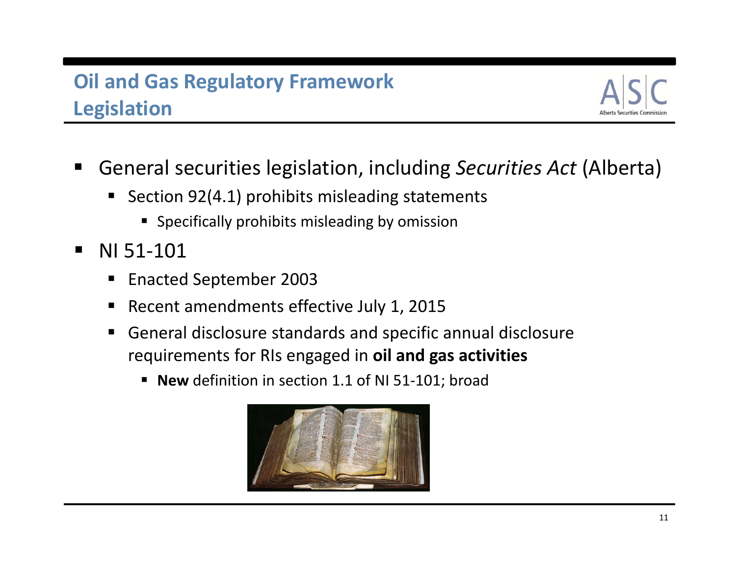

- $\blacksquare$  General securities legislation, including *Securities Act* (Alberta)
	- Section 92(4.1) prohibits misleading statements
		- **Specifically prohibits misleading by omission**
- $\blacksquare$  NI 51‐101
	- $\blacksquare$ ■ Enacted September 2003
	- П ■ Recent amendments effective July 1, 2015
	- $\blacksquare$  General disclosure standards and specific annual disclosure requirements for RIs engaged in **oil and gas activities**
		- **New** definition in section 1.1 of NI 51-101; broad

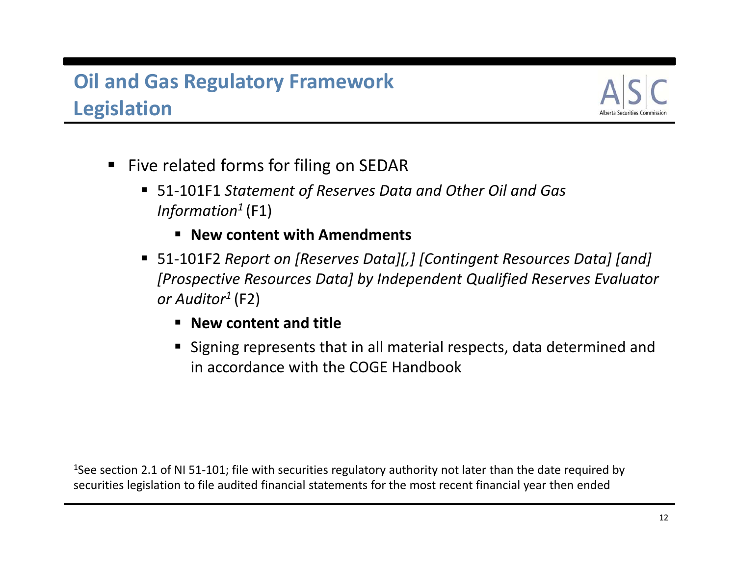

- Five related forms for filing on SEDAR
	- 51‐101F1 *Statement of Reserves Data and Other Oil and Gas Information1* (F1)
		- **New content with Amendments**
	- 51‐101F2 *Report on [Reserves Data][,] [Contingent Resources Data] [and] [Prospective Resources Data] by Independent Qualified Reserves Evaluator or Auditor1* (F2)
		- **New content and title**
		- Signing represents that in all material respects, data determined and in accordance with the COGE Handbook

<sup>1</sup>See section 2.1 of NI 51-101; file with securities regulatory authority not later than the date required by securities legislation to file audited financial statements for the most recent financial year then ended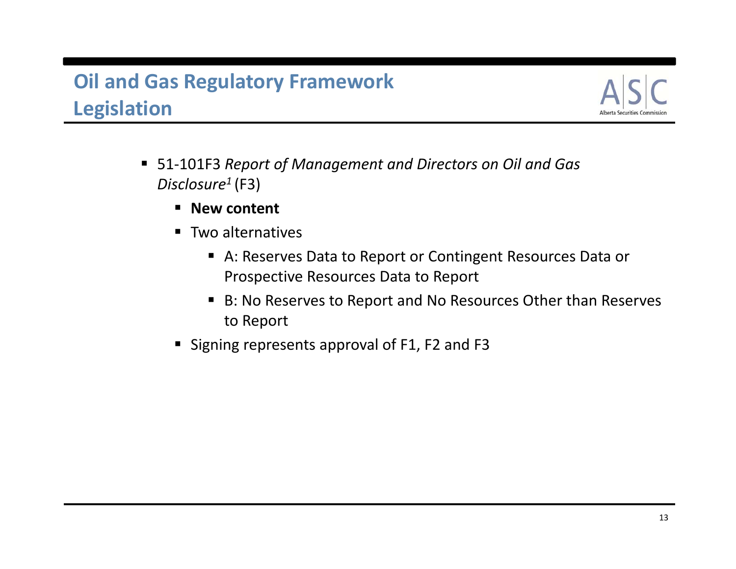

- 51‐101F3 *Report of Management and Directors on Oil and Gas Disclosure1* (F3)
	- **E** New content
	- **Two alternatives** 
		- A: Reserves Data to Report or Contingent Resources Data or Prospective Resources Data to Report
		- B: No Reserves to Report and No Resources Other than Reserves to Report
	- Signing represents approval of F1, F2 and F3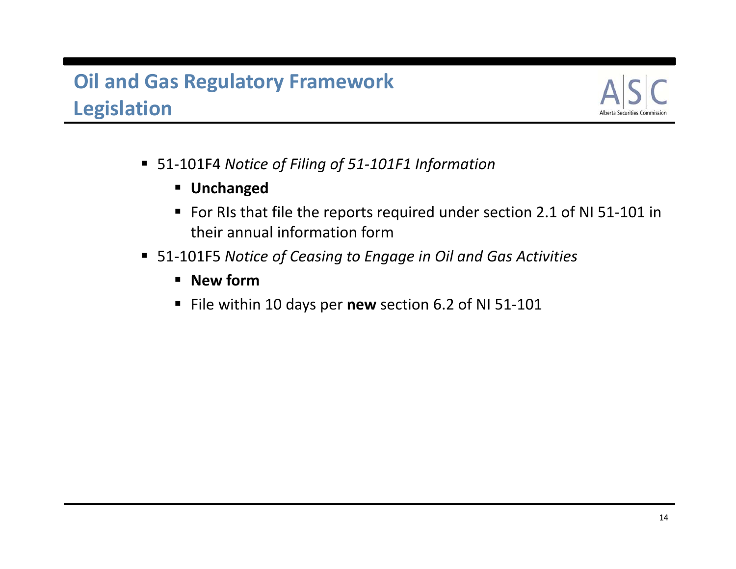

- 51‐101F4 *Notice of Filing of 51‐101F1 Information*
	- **Unchanged**
	- For RIs that file the reports required under section 2.1 of NI 51-101 in their annual information form
- 51‐101F5 *Notice of Ceasing to Engage in Oil and Gas Activities*
	- **New form**
	- File within 10 days per new section 6.2 of NI 51-101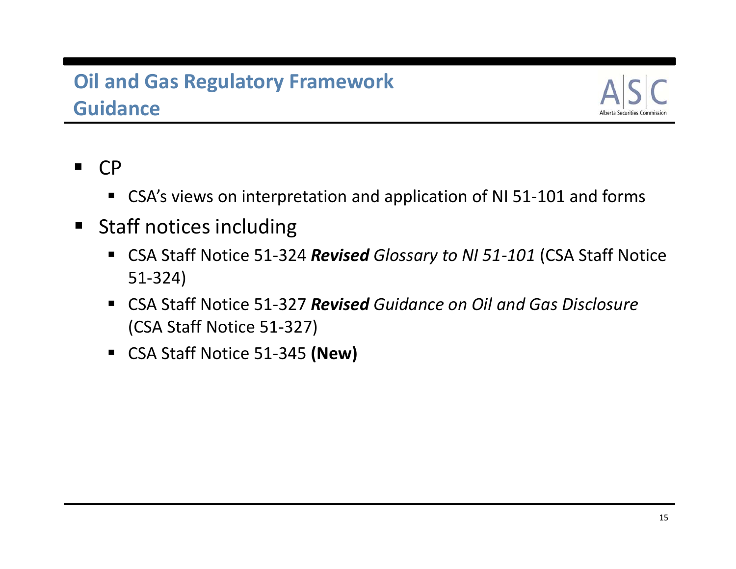# **Oil and Gas Regulatory Framework Guidance**



- $\blacksquare$  CP
	- CSA's views on interpretation and application of NI 51-101 and forms
- **Staff notices including** 
	- CSA Staff Notice 51-324 Revised Glossary to NI 51-101 (CSA Staff Notice 51‐324)
	- CSA Staff Notice 51‐327 *Revised Guidance on Oil and Gas Disclosure* (CSA Staff Notice 51‐327)
	- CSA Staff Notice 51-345 **(New)**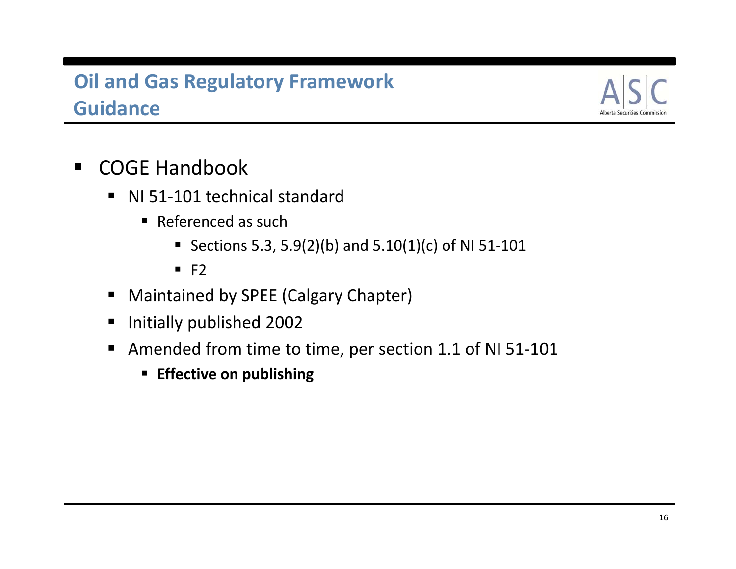# **Oil and Gas Regulatory Framework Guidance**



- $\blacksquare$ ■ COGE Handbook
	- NI 51-101 technical standard
		- Referenced as such
			- Sections 5.3, 5.9(2)(b) and 5.10(1)(c) of NI 51-101
			- $F2$
	- Maintained by SPEE (Calgary Chapter)
	- **Initially published 2002**
	- Amended from time to time, per section 1.1 of NI 51-101
		- **Effective on publishing**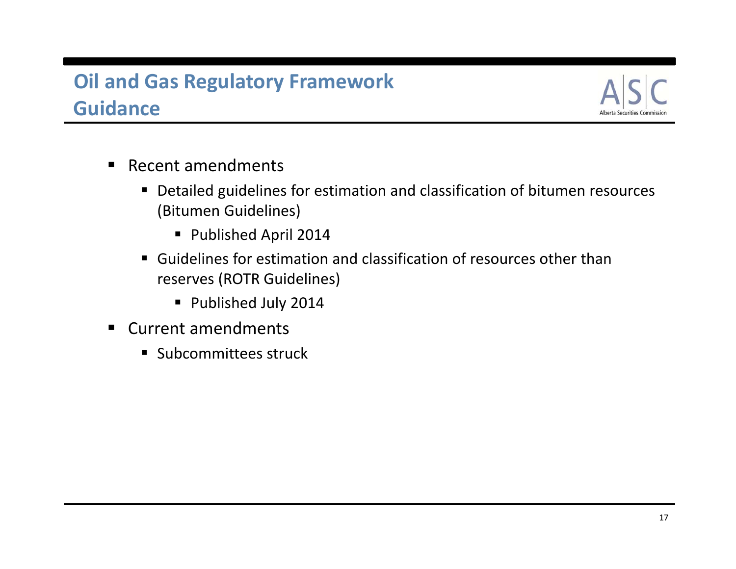# **Oil and Gas Regulatory Framework Guidance**



- Recent amendments
	- Detailed guidelines for estimation and classification of bitumen resources (Bitumen Guidelines)
		- Published April 2014
	- Guidelines for estimation and classification of resources other than reserves (ROTR Guidelines)
		- Published July 2014
- Current amendments
	- **Subcommittees struck**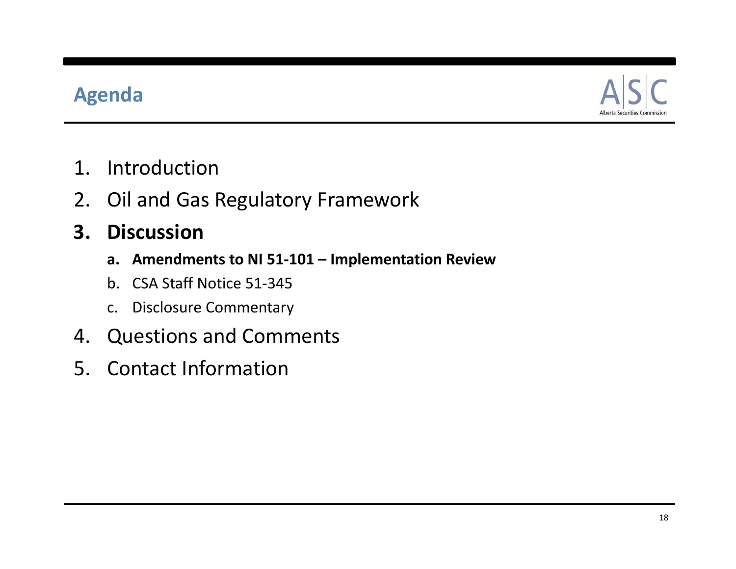# **Agenda**



- 1. Introduction
- 2. Oil and Gas Regulatory Framework

#### **3. Discussion**

- **a. Amendments to NI 51‐101 – Implementation Review**
- b. CSA Staff Notice 51‐345
- c. Disclosure Commentary
- 4. Questions and Comments
- 5. Contact Information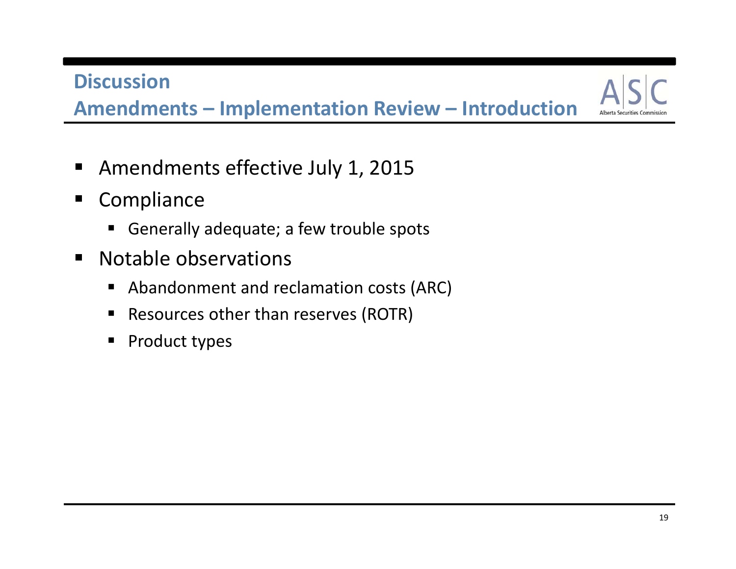**Amendments – Implementation Review – Introduction**

- $\blacksquare$ Amendments effective July 1, 2015
- $\blacksquare$ **Compliance** 
	- Generally adequate; <sup>a</sup> few trouble spots
- $\blacksquare$ **Notable observations** 
	- Abandonment and reclamation costs (ARC)
	- $\blacksquare$ ■ Resources other than reserves (ROTR)
	- $\blacksquare$ Product types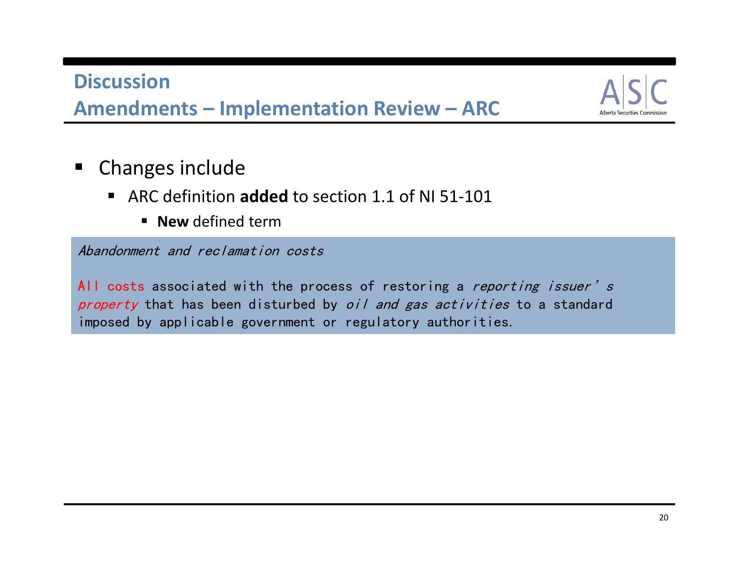**Amendments – Implementation Review – ARC**



- $\blacksquare$  Changes include
	- ARC definition added to section 1.1 of NI 51-101
		- **New** defined term

Abandonment and reclamation costs

All costs associated with the process of restoring a *reporting issuer's* property that has been disturbed by oil and gas activities to a standard imposed by applicable government or regulatory authorities.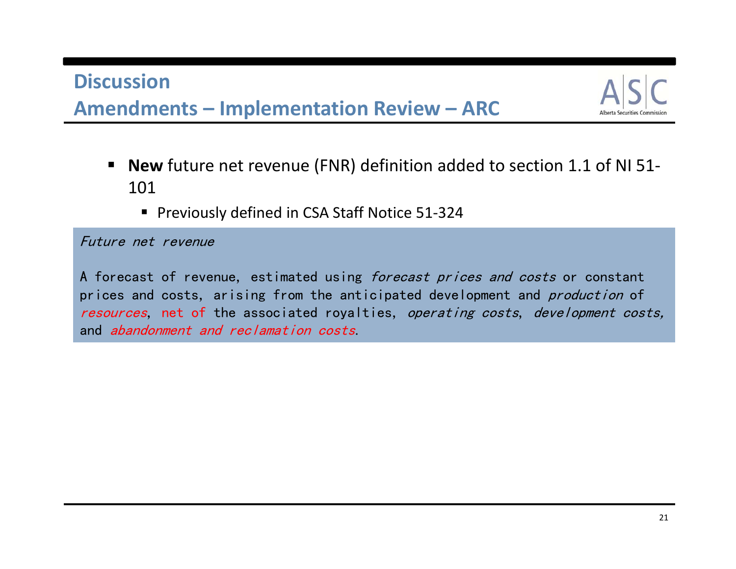#### **DiscussionAmendments – Implementation Review – ARC**



- **New** future net revenue (FNR) definition added to section 1.1 of NI 51-101
	- Previously defined in CSA Staff Notice 51-324

Future net revenue

A forecast of revenue, estimated using *forecast prices and costs* or constant prices and costs, arising from the anticipated development and *production* of resources, net of the associated royalties, operating costs, development costs, and abandonment and reclamation costs.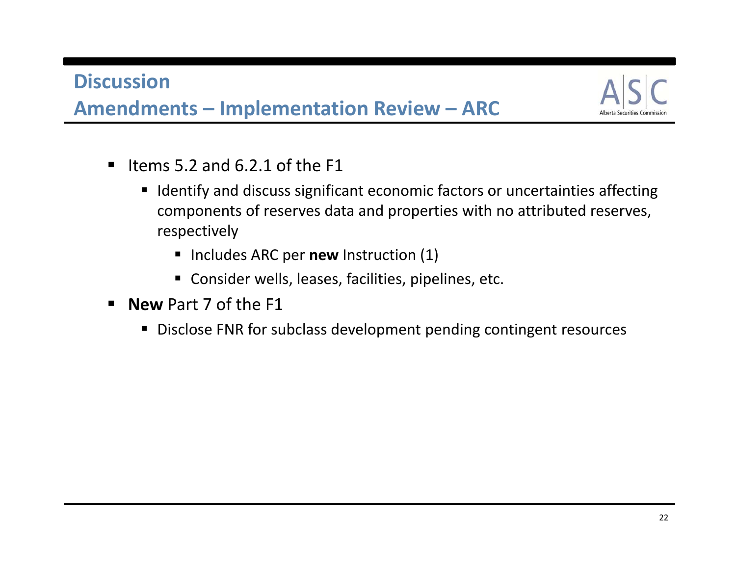

- $\blacksquare$ If Items 5.2 and 6.2.1 of the F1
	- **IDENTIFY and discuss significant economic factors or uncertainties affecting** components of reserves data and properties with no attributed reserves, respectively
		- **IDED Includes ARC per new Instruction (1)**
		- Consider wells, leases, facilities, pipelines, etc.
- **New** Part 7 of the F1
	- Disclose FNR for subclass development pending contingent resources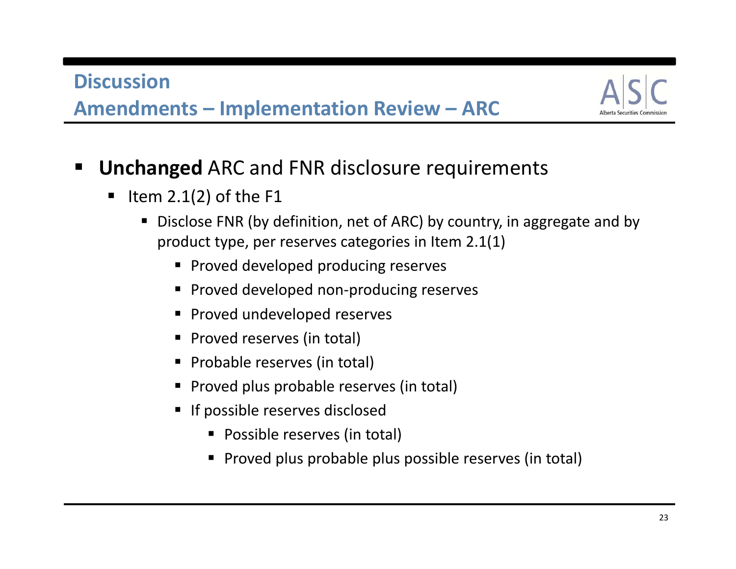#### **DiscussionAmendments – Implementation Review – ARC**



- $\blacksquare$  **Unchanged** ARC and FNR disclosure requirements
	- $\blacksquare$  Item 2.1(2) of the F1
		- Disclose FNR (by definition, net of ARC) by country, in aggregate and by product type, per reserves categories in Item 2.1(1)
			- **Proved developed producing reserves**
			- Proved developed non-producing reserves
			- **Proved undeveloped reserves**
			- **Proved reserves (in total)**
			- **Probable reserves (in total)**
			- **Proved plus probable reserves (in total)**
			- **If possible reserves disclosed** 
				- Possible reserves (in total)
				- Proved plus probable plus possible reserves (in total)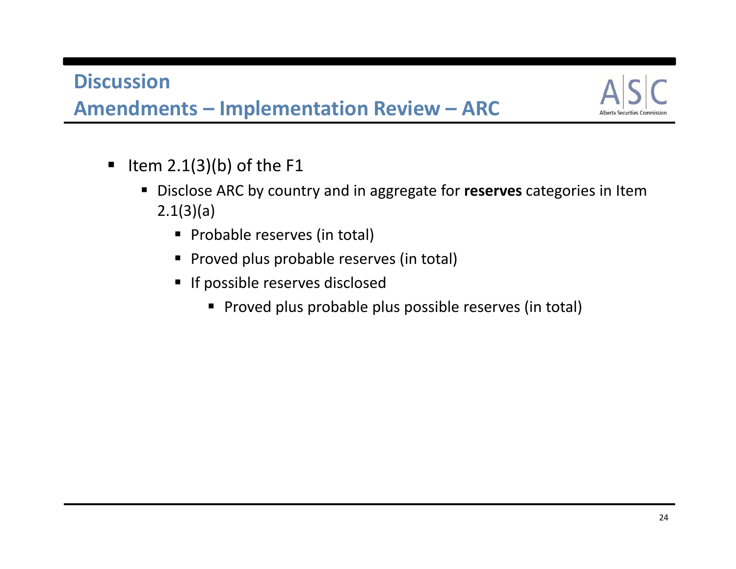

- $\blacksquare$  Item 2.1(3)(b) of the F1
	- Disclose ARC by country and in aggregate for **reserves** categories in Item 2.1(3)(a)
		- **Probable reserves (in total)**
		- **Proved plus probable reserves (in total)**
		- **If possible reserves disclosed** 
			- **Proved plus probable plus possible reserves (in total)**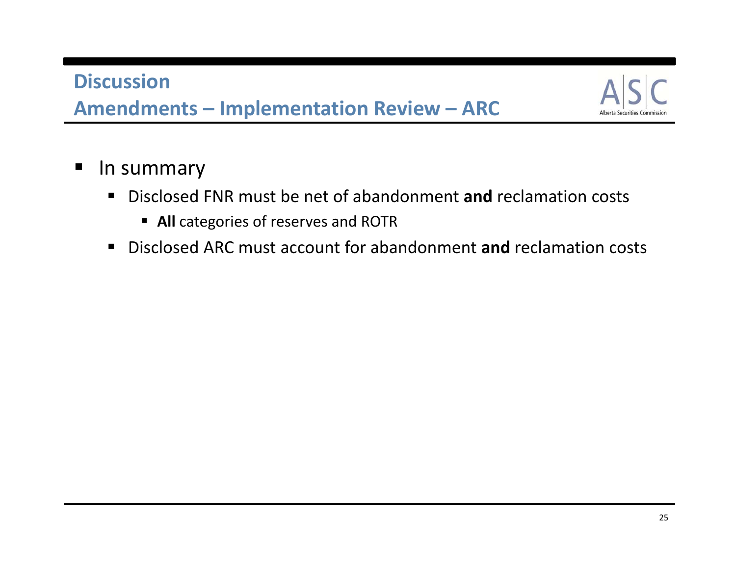

- $\blacksquare$ **In summary** 
	- Disclosed FNR must be net of abandonment and reclamation costs
		- **All** categories of reserves and ROTR
	- Disclosed ARC must account for abandonment **and** reclamation costs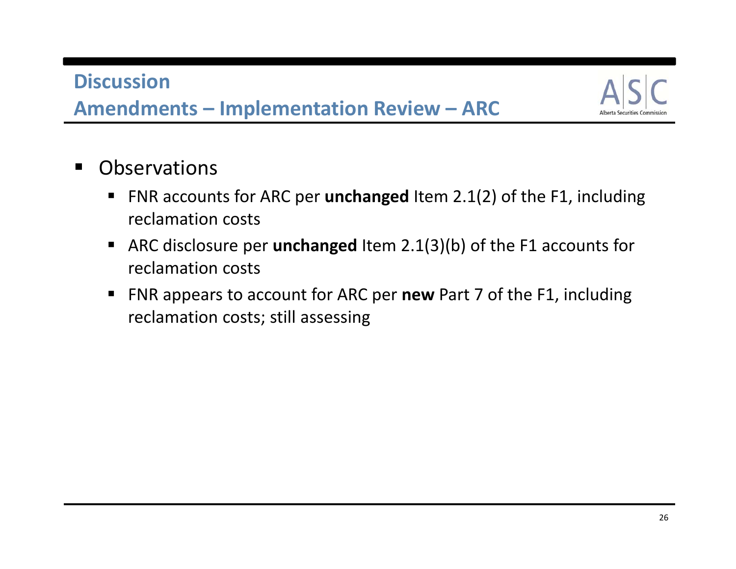

- $\blacksquare$ **Observations** 
	- FNR accounts for ARC per **unchanged** Item 2.1(2) of the F1, including reclamation costs
	- ARC disclosure per **unchanged** Item 2.1(3)(b) of the F1 accounts for reclamation costs
	- FNR appears to account for ARC per **new** Part 7 of the F1, including reclamation costs; still assessing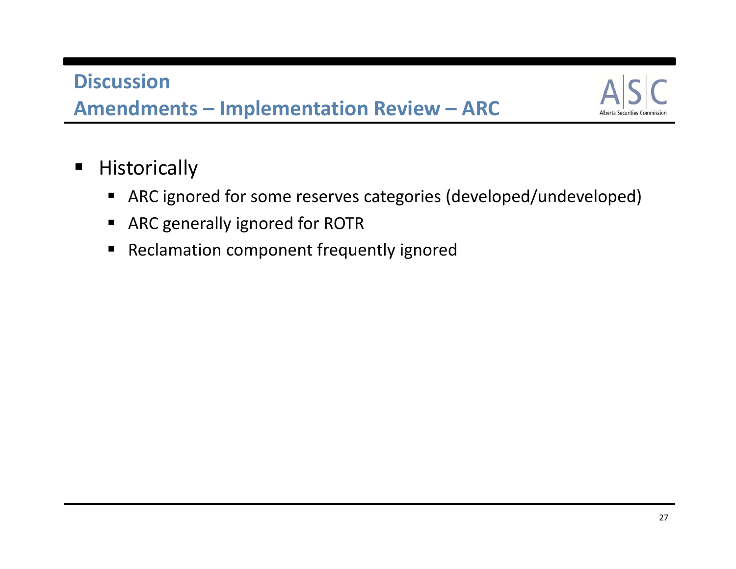

- $\blacksquare$ **Historically** 
	- ARC ignored for some reserves categories (developed/undeveloped)
	- ARC generally ignored for ROTR
	- Reclamation component frequently ignored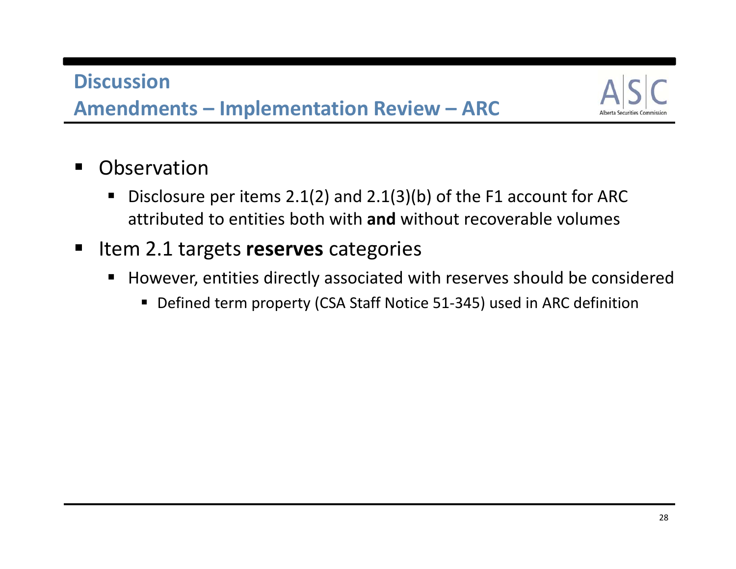

- $\blacksquare$  Observation
	- $\blacksquare$ ■ Disclosure per items 2.1(2) and 2.1(3)(b) of the F1 account for ARC attributed to entities both with **and** without recoverable volumes
- $\blacksquare$ **Iftem 2.1 targets reserves** categories
	- However, entities directly associated with reserves should be considered
		- Defined term property (CSA Staff Notice 51-345) used in ARC definition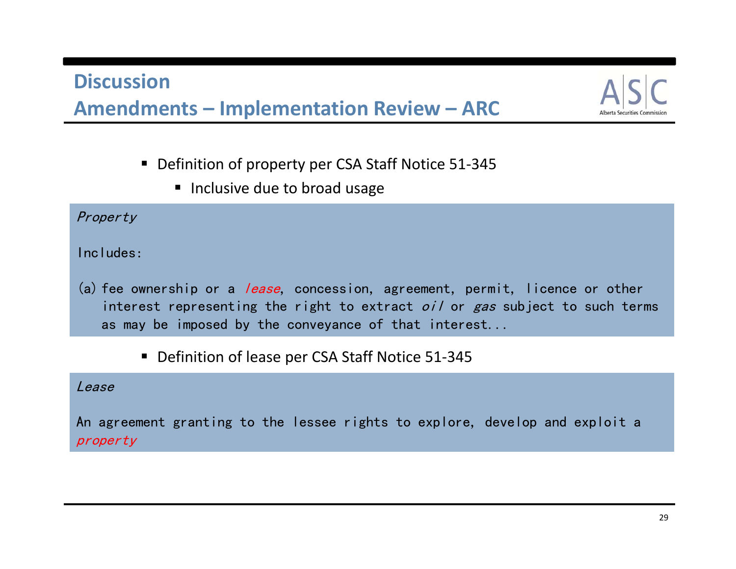#### **DiscussionAmendments – Implementation Review – ARC**



- Definition of property per CSA Staff Notice 51-345
	- **Inclusive due to broad usage**

#### Property

Includes:

- (a) fee ownership or a *lease*, concession, agreement, permit, licence or other interest representing the right to extract *oil* or gas subject to such terms as may be imposed by the conveyance of that interest...
	- Definition of lease per CSA Staff Notice 51-345

Lease

An agreement granting to the lessee rights to explore, develop and exploit a property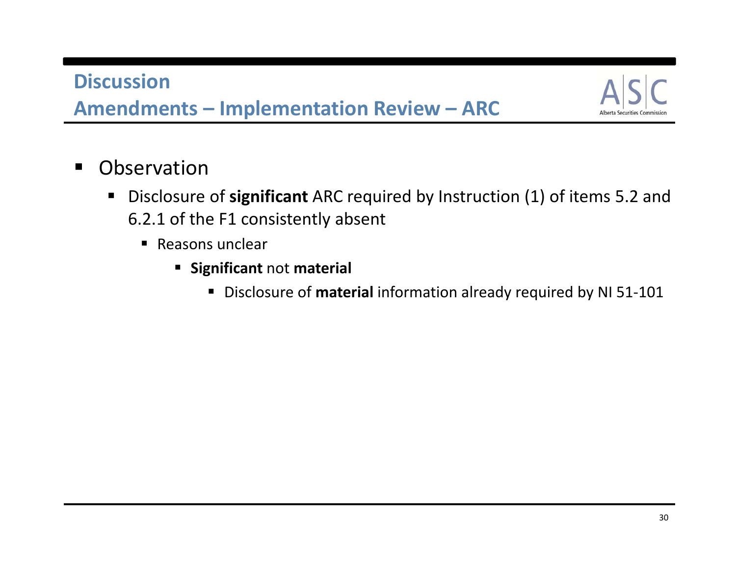

- $\blacksquare$  Observation
	- $\blacksquare$  Disclosure of **significant** ARC required by Instruction (1) of items 5.2 and 6.2.1 of the F1 consistently absent
		- Reasons unclear
			- **EXA** Significant not material
				- Disclosure of **material** information already required by NI 51-101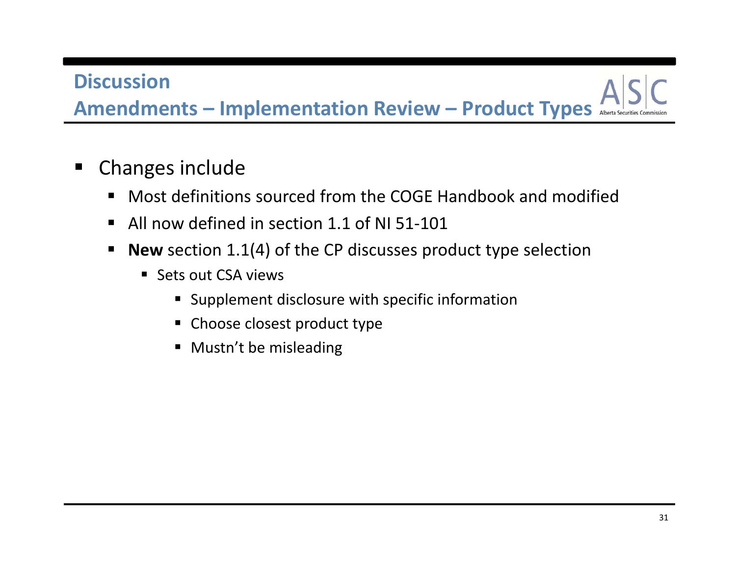**Amendments – Implementation Review – Product Types**

- $\blacksquare$  Changes include
	- Most definitions sourced from the COGE Handbook and modified
	- All now defined in section 1.1 of NI 51-101
	- **New** section 1.1(4) of the CP discusses product type selection
		- Sets out CSA views
			- Supplement disclosure with specific information
			- Choose closest product type
			- **•** Mustn't be misleading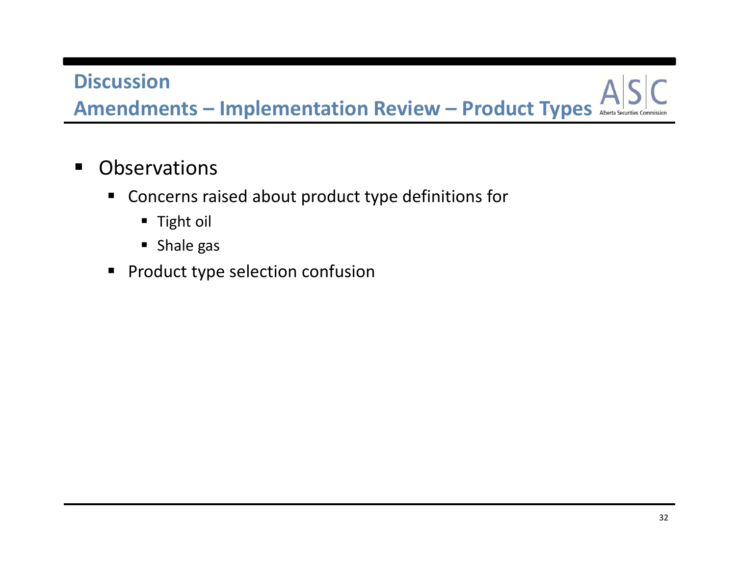**Amendments – Implementation Review – Product Types**

- $\blacksquare$ **Observations** 
	- Concerns raised about product type definitions for
		- Tight oil
		- Shale gas
	- **Product type selection confusion**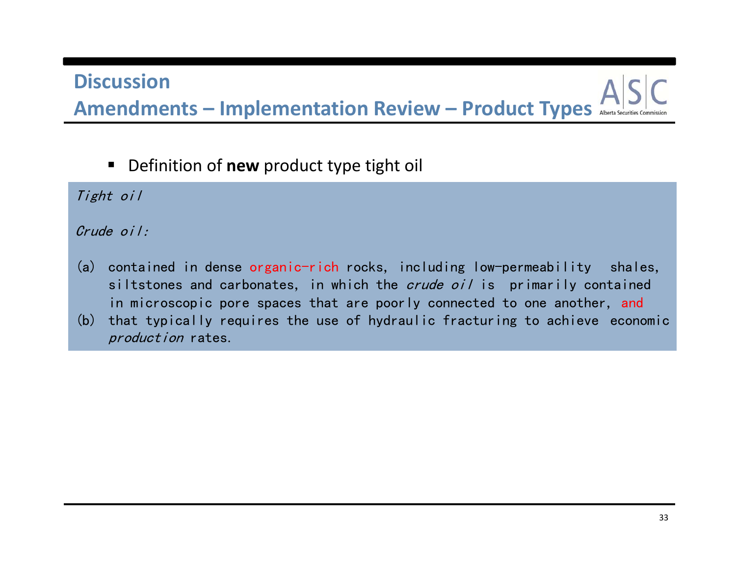# **DiscussionAmendments – Implementation Review – Product Types**

■ Definition of **new** product type tight oil

Tight oil

#### Crude oil:

- (a) contained in dense organic-rich rocks, including low-permeability shales, siltstones and carbonates, in which the *crude oil* is primarily contained in microscopic pore spaces that are poorly connected to one another, and
- (b) that typically requires the use of hydraulic fracturing to achieve economic production rates.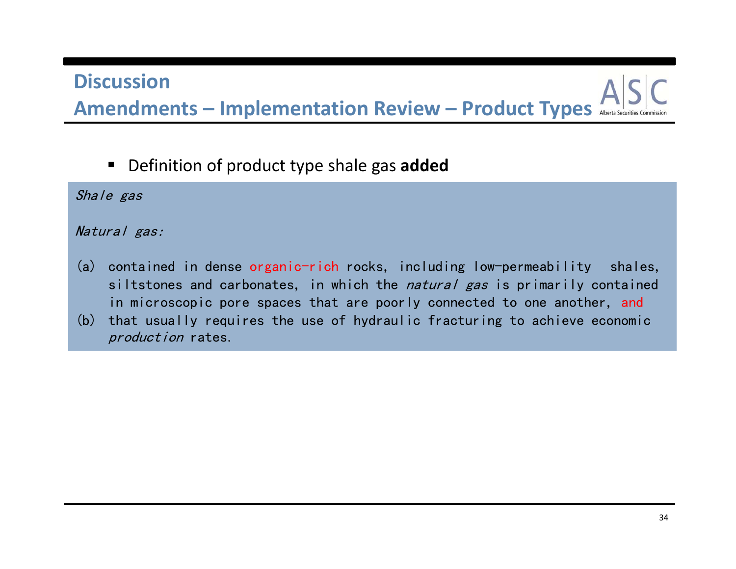# **DiscussionAmendments – Implementation Review – Product Types**

Definition of product type shale gas **added**

Shale gas

#### Natural gas:

- (a) contained in dense organic-rich rocks, including low-permeability shales, siltstones and carbonates, in which the *natural gas* is primarily contained in microscopic pore spaces that are poorly connected to one another, and
- (b) that usually requires the use of hydraulic fracturing to achieve economic production rates.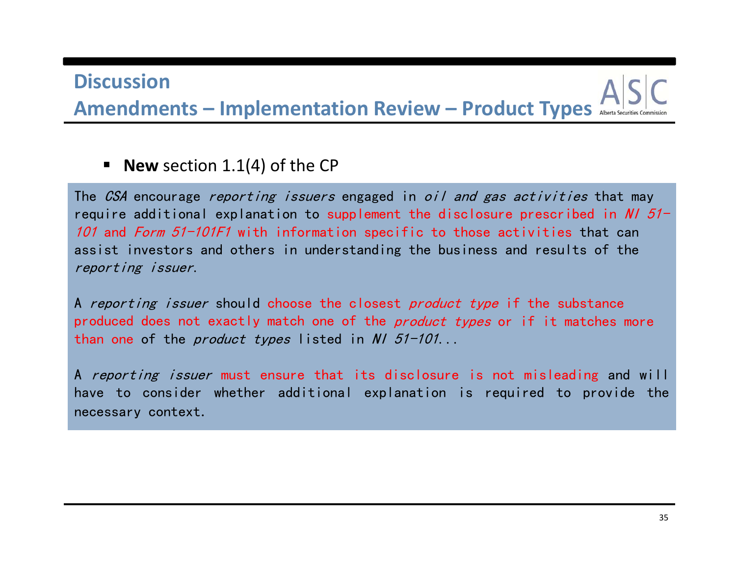**Amendments – Implementation Review – Product Types**

#### **New** section 1.1(4) of the CP

The *CSA* encourage *reporting issuers* engaged in *oil and gas activities* that may require additional explanation to supplement the disclosure prescribed in N/  $51-$ *101* and *Form 51-101F1* with information specific to those activities that can assist investors and others in understanding the business and results of the reporting issuer.

A reporting issuer should choose the closest product type if the substance produced does not exactly match one of the *product types* or if it matches more than one of the *product types* listed in *NI 51-101*...

A *reporting issuer* must ensure that its disclosure is not misleading and will have to consider whether additional explanation is required to provide the necessary context.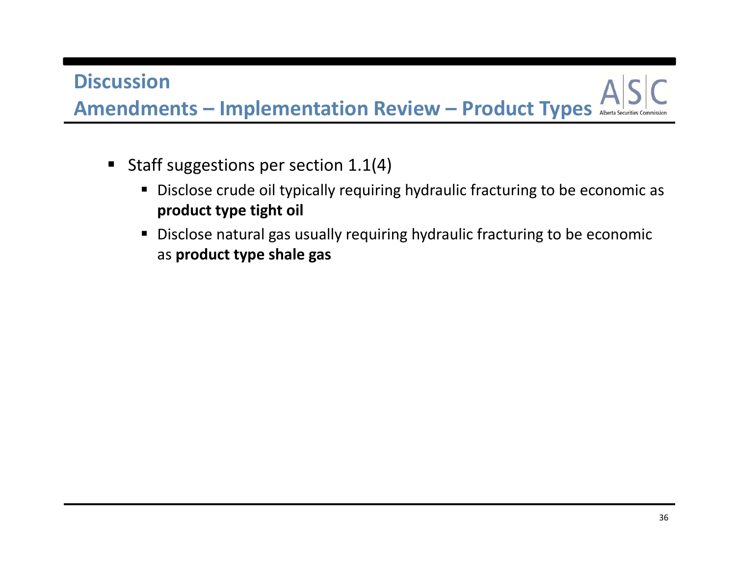**Amendments – Implementation Review – Product Types**

- Staff suggestions per section  $1.1(4)$ 
	- Disclose crude oil typically requiring hydraulic fracturing to be economic as **product type tight oil**
	- Disclose natural gas usually requiring hydraulic fracturing to be economic as **product type shale gas**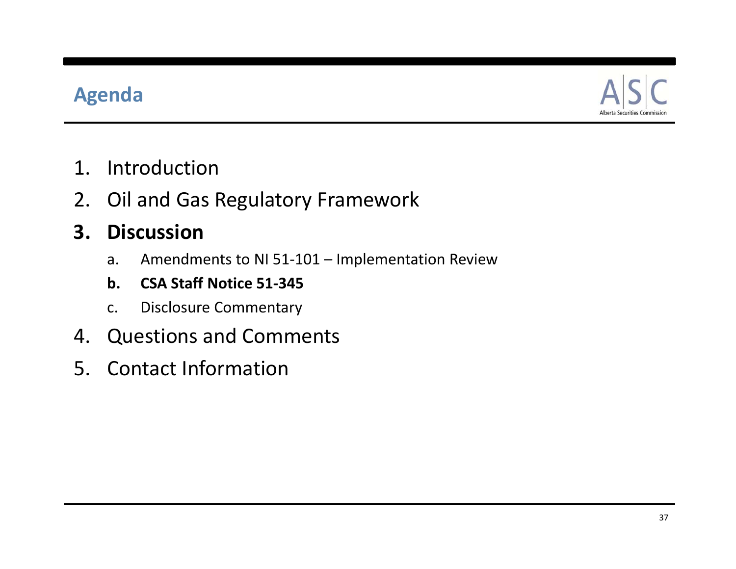# **Agenda**



- 1. Introduction
- 2. Oil and Gas Regulatory Framework

#### **3. Discussion**

- a. Amendments to NI 51‐101 Implementation Review
- **b. CSA Staff Notice 51‐345**
- c. Disclosure Commentary
- 4. Questions and Comments
- 5. Contact Information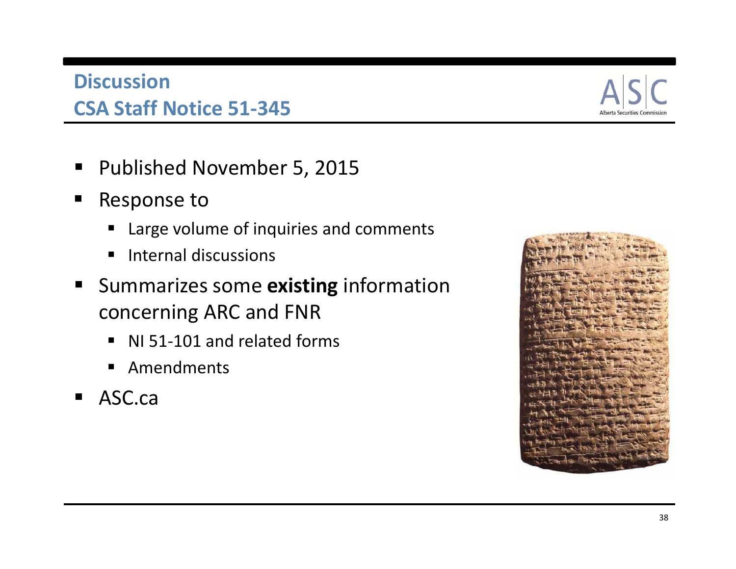#### **Discussion CSA Staff Notice 51‐345**

- Published November 5, 2015
- $\blacksquare$  Response to
	- Large volume of inquiries and comments
	- **Internal discussions**
- **E** Summarizes some **existing** information concerning ARC and FNR
	- NI 51-101 and related forms
	- **E** Amendments
- ASC.ca

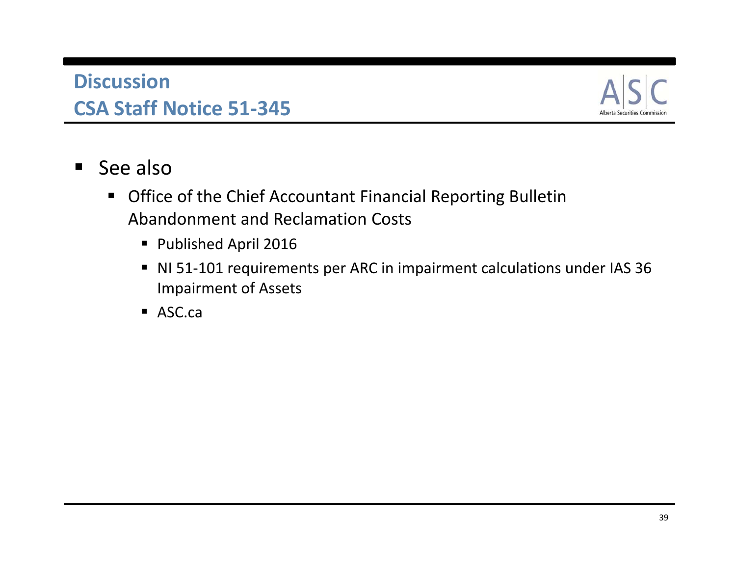#### **Discussion CSA Staff Notice 51‐345**



- $\blacksquare$ ■ See also
	- Office of the Chief Accountant Financial Reporting Bulletin Abandonment and Reclamation Costs
		- Published April 2016
		- NI 51-101 requirements per ARC in impairment calculations under IAS 36 Impairment of Assets
		- ASC.ca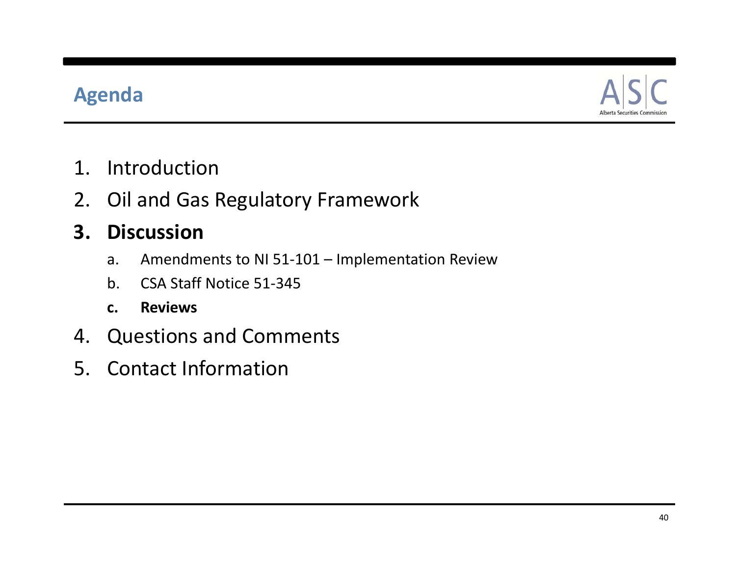# **Agenda**



- 1. Introduction
- 2. Oil and Gas Regulatory Framework

#### **3. Discussion**

- a. Amendments to NI 51‐101 Implementation Review
- b. CSA Staff Notice 51‐345
- **c. Reviews**
- 4. Questions and Comments
- 5. Contact Information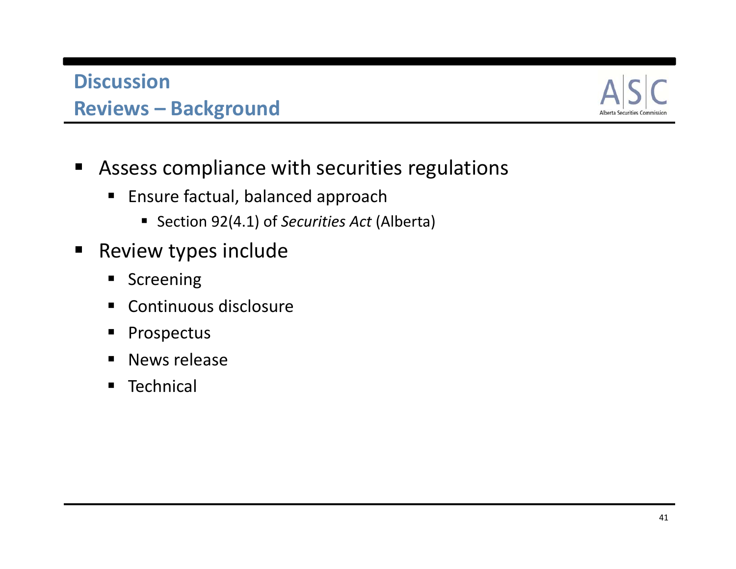#### **DiscussionReviews – Background**



- $\blacksquare$  Assess compliance with securities regulations
	- Ensure factual, balanced approach
		- Section 92(4.1) of *Securities Act* (Alberta)
- $\blacksquare$ **Review types include** 
	- **Screening**
	- Continuous disclosure
	- $\blacksquare$ Prospectus
	- $\blacksquare$ News release
	- **Technical**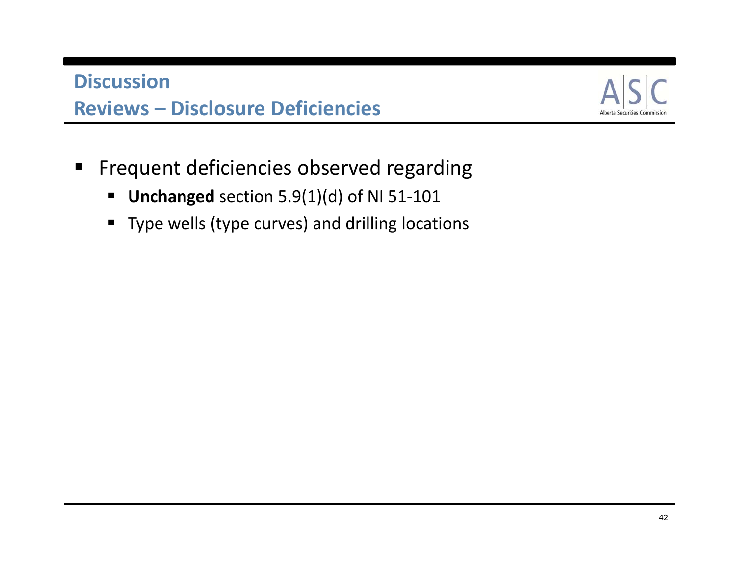#### **Discussion Reviews – Disclosure Deficiencies**



- $\blacksquare$  Frequent deficiencies observed regarding
	- Unchanged section 5.9(1)(d) of NI 51-101
	- Type wells (type curves) and drilling locations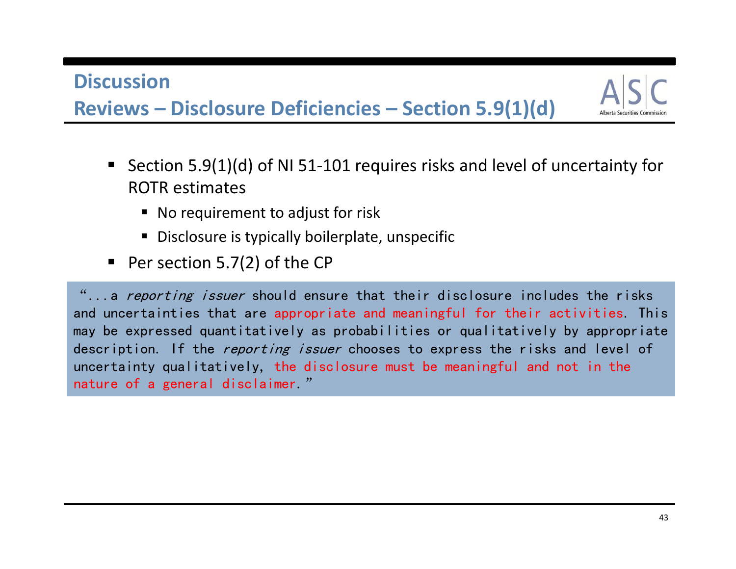**Reviews – Disclosure Deficiencies – Section 5.9(1)(d)**



- Section 5.9(1)(d) of NI 51-101 requires risks and level of uncertainty for ROTR estimates
	- No requirement to adjust for risk
	- Disclosure is typically boilerplate, unspecific
- $\blacksquare$  Per section 5.7(2) of the CP

"...a reporting issuer should ensure that their disclosure includes the risks and uncertainties that are appropriate and meaningful for their activities. This may be expressed quantitatively as probabilities or qualitatively by appropriate description. If the *reporting issuer* chooses to express the risks and level of uncertainty qualitatively, the disclosure must be meaningful and not in the nature of a general disclaimer."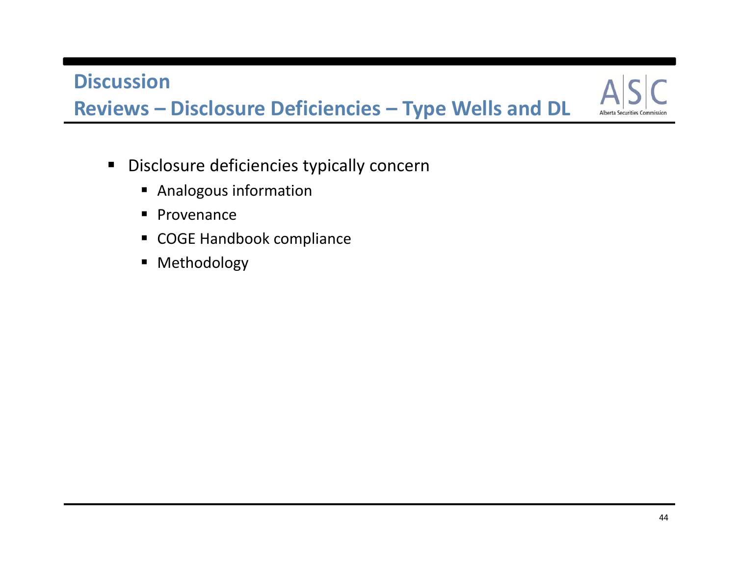**Reviews – Disclosure Deficiencies – Type Wells and DL**

- Disclosure deficiencies typically concern
	- **Analogous information**
	- **Provenance**
	- COGE Handbook compliance
	- **•** Methodology

**Alberta Securities**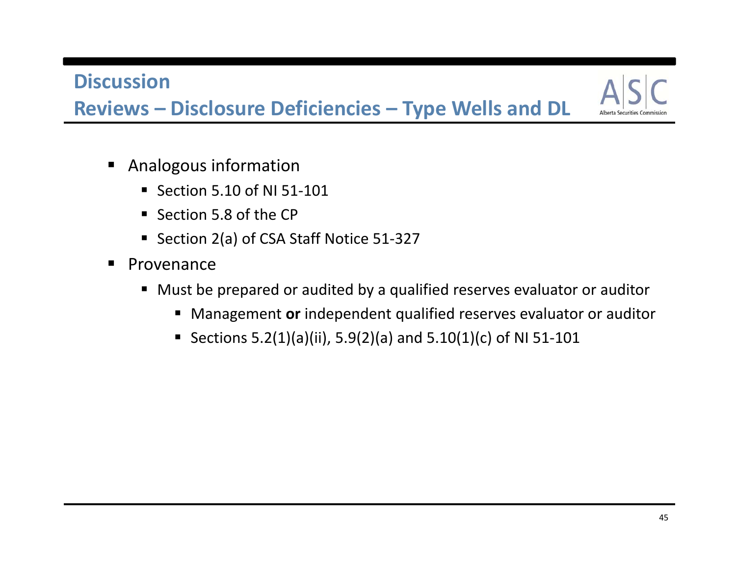**Reviews – Disclosure Deficiencies – Type Wells and DL**

- **Analogous information** 
	- Section 5.10 of NI 51-101
	- Section 5.8 of the CP
	- Section 2(a) of CSA Staff Notice 51-327
- **Provenance** 
	- Must be prepared or audited by <sup>a</sup> qualified reserves evaluator or auditor
		- Management **or** independent qualified reserves evaluator or auditor
		- Sections 5.2(1)(a)(ii), 5.9(2)(a) and 5.10(1)(c) of NI 51-101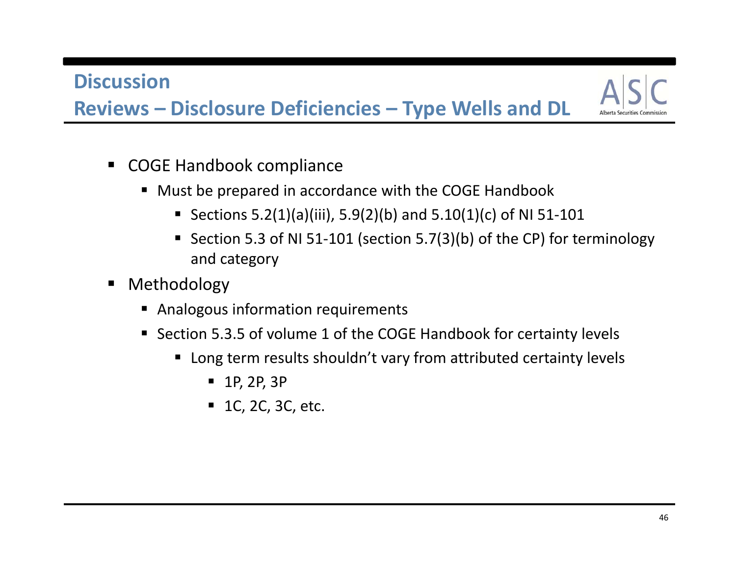**Reviews – Disclosure Deficiencies – Type Wells and DL**

- COGE Handbook compliance
	- Must be prepared in accordance with the COGE Handbook
		- Sections 5.2(1)(a)(iii), 5.9(2)(b) and 5.10(1)(c) of NI 51-101
		- Section 5.3 of NI 51-101 (section 5.7(3)(b) of the CP) for terminology and category
- ٠ Methodology
	- **Analogous information requirements**
	- Section 5.3.5 of volume 1 of the COGE Handbook for certainty levels
		- Long term results shouldn't vary from attributed certainty levels
			- 1P, 2P, 3P
			- $-1$ C, 2C, 3C, etc.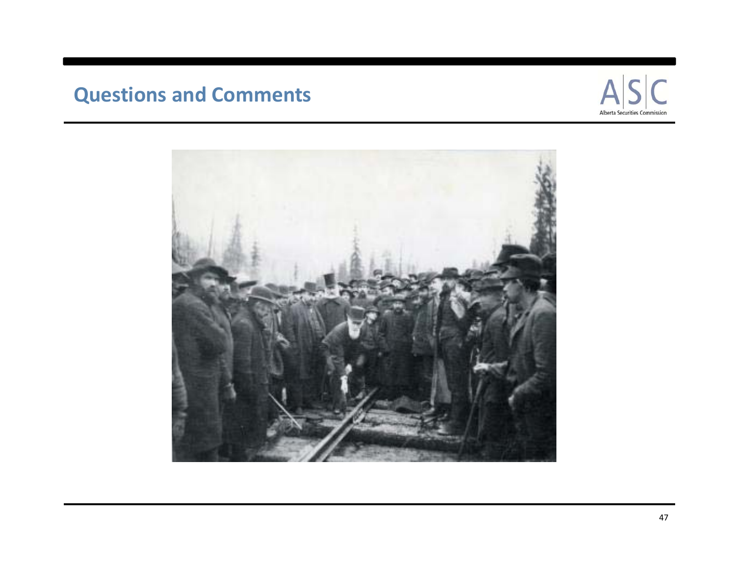# **Questions and Comments**